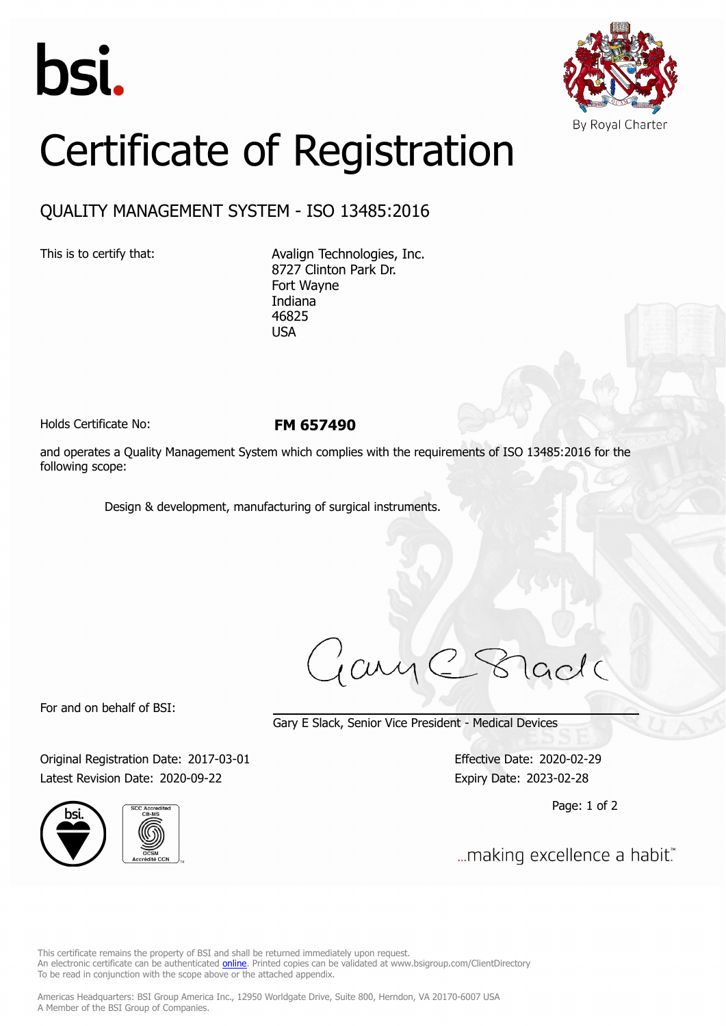



## Certificate of Registration

## QUALITY MANAGEMENT SYSTEM - ISO 13485:2016

This is to certify that: Avalign Technologies, Inc. 8727 Clinton Park Dr. Fort Wayne Indiana 46825 USA

Holds Certificate No: **FM 657490**

and operates a Quality Management System which complies with the requirements of ISO 13485:2016 for the following scope:

Design & development, manufacturing of surgical instruments.

iame8 lade

For and on behalf of BSI:

Gary E Slack, Senior Vice President - Medical Devices

Original Registration Date: 2017-03-01 Effective Date: 2020-02-29 Latest Revision Date: 2020-09-22 Expiry Date: 2023-02-28





Page: 1 of 2

... making excellence a habit."

This certificate remains the property of BSI and shall be returned immediately upon request. An electronic certificate can be authenticated *[online](https://pgplus.bsigroup.com/CertificateValidation/CertificateValidator.aspx?CertificateNumber=FM+657490&ReIssueDate=22%2f09%2f2020&Template=inc)*. Printed copies can be validated at www.bsigroup.com/ClientDirectory To be read in conjunction with the scope above or the attached appendix.

Americas Headquarters: BSI Group America Inc., 12950 Worldgate Drive, Suite 800, Herndon, VA 20170-6007 USA A Member of the BSI Group of Companies.